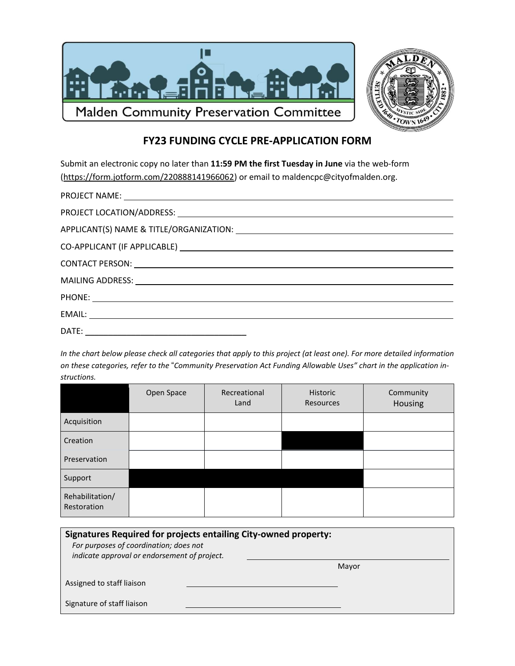

## **FY23 FUNDING CYCLE PRE-APPLICATION FORM**

Submit an electronic copy no later than **11:59 PM the first Tuesday in June** via the web-form [\(https://form.jotform.com/220888141966062\)](https://form.jotform.com/220888141966062) or email to maldencpc@cityofmalden.org.

In the chart below please check all categories that apply to this project (at least one). For more detailed information on these categories, refer to the "Community Preservation Act Funding Allowable Uses" chart in the application in*structions.*

|                                | Open Space | Recreational<br>Land | Historic<br>Resources | Community<br>Housing |
|--------------------------------|------------|----------------------|-----------------------|----------------------|
| Acquisition                    |            |                      |                       |                      |
| Creation                       |            |                      |                       |                      |
| Preservation                   |            |                      |                       |                      |
| Support                        |            |                      |                       |                      |
| Rehabilitation/<br>Restoration |            |                      |                       |                      |

| Signatures Required for projects entailing City-owned property:<br>For purposes of coordination; does not<br>indicate approval or endorsement of project. |       |  |  |  |
|-----------------------------------------------------------------------------------------------------------------------------------------------------------|-------|--|--|--|
|                                                                                                                                                           | Mayor |  |  |  |
| Assigned to staff liaison                                                                                                                                 |       |  |  |  |
| Signature of staff liaison                                                                                                                                |       |  |  |  |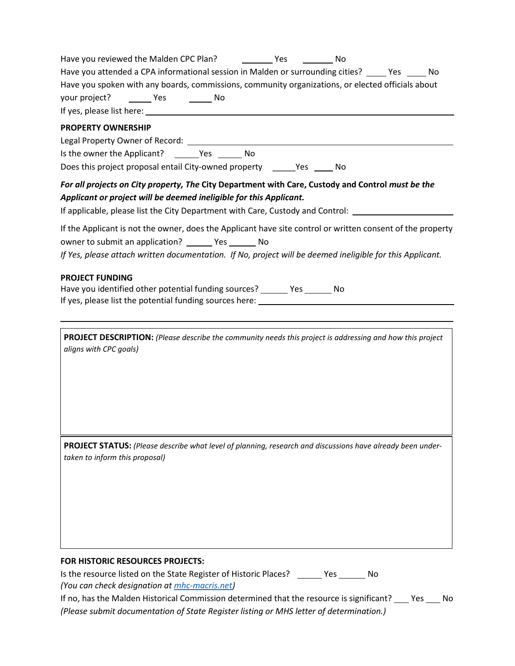| Have you reviewed the Malden CPC Plan? ___________ Yes ___________ No                                                                                                                     |  |  |
|-------------------------------------------------------------------------------------------------------------------------------------------------------------------------------------------|--|--|
| Have you attended a CPA informational session in Malden or surrounding cities? _____ Yes _____ No                                                                                         |  |  |
| Have you spoken with any boards, commissions, community organizations, or elected officials about                                                                                         |  |  |
| your project? ________ Yes __________ No                                                                                                                                                  |  |  |
|                                                                                                                                                                                           |  |  |
| <b>PROPERTY OWNERSHIP</b>                                                                                                                                                                 |  |  |
|                                                                                                                                                                                           |  |  |
| Is the owner the Applicant? ________ Yes ________ No                                                                                                                                      |  |  |
| Does this project proposal entail City-owned property _______ Yes ______ No                                                                                                               |  |  |
| For all projects on City property, The City Department with Care, Custody and Control must be the                                                                                         |  |  |
| Applicant or project will be deemed ineligible for this Applicant.                                                                                                                        |  |  |
| If applicable, please list the City Department with Care, Custody and Control: ______                                                                                                     |  |  |
| If the Applicant is not the owner, does the Applicant have site control or written consent of the property                                                                                |  |  |
| owner to submit an application? ________ Yes ________ No                                                                                                                                  |  |  |
| If Yes, please attach written documentation. If No, project will be deemed ineligible for this Applicant.                                                                                 |  |  |
|                                                                                                                                                                                           |  |  |
| <b>PROJECT FUNDING</b><br>Have you identified other potential funding sources? _______ Yes _______ No<br>If yes, please list the potential funding sources here: ________________________ |  |  |
|                                                                                                                                                                                           |  |  |
| PROJECT DESCRIPTION: (Please describe the community needs this project is addressing and how this project<br>aligns with CPC goals)                                                       |  |  |
| PROJECT STATUS: (Please describe what level of planning, research and discussions have already been under-<br>taken to inform this proposal)                                              |  |  |

## **FOR HISTORIC RESOURCES PROJECTS:**

Is the resource listed on the State Register of Historic Places? \_\_\_\_\_\_ Yes \_\_\_\_\_\_ No *(You can check designation at [mhc-macris.net\)](http://mhc-macris.net/)*

If no, has the Malden Historical Commission determined that the resource is significant? \_\_\_\_ Yes \_\_\_\_ No *(Please submit documentation of State Register listing or MHS letter of determination.)*